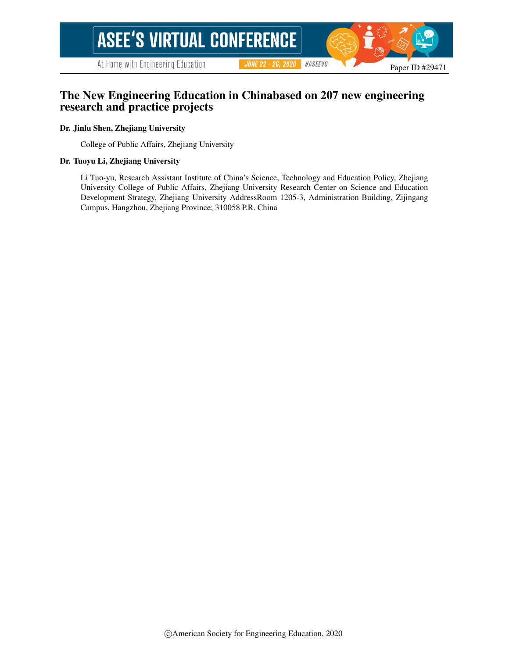At Home with Engineering Education

#ASEEVC **JUNE 22 - 26, 2020** 

# The New Engineering Education in Chinabased on 207 new engineering research and practice projects

### Dr. Jinlu Shen, Zhejiang University

College of Public Affairs, Zhejiang University

#### Dr. Tuoyu Li, Zhejiang University

Li Tuo-yu, Research Assistant Institute of China's Science, Technology and Education Policy, Zhejiang University College of Public Affairs, Zhejiang University Research Center on Science and Education Development Strategy, Zhejiang University AddressRoom 1205-3, Administration Building, Zijingang Campus, Hangzhou, Zhejiang Province; 310058 P.R. China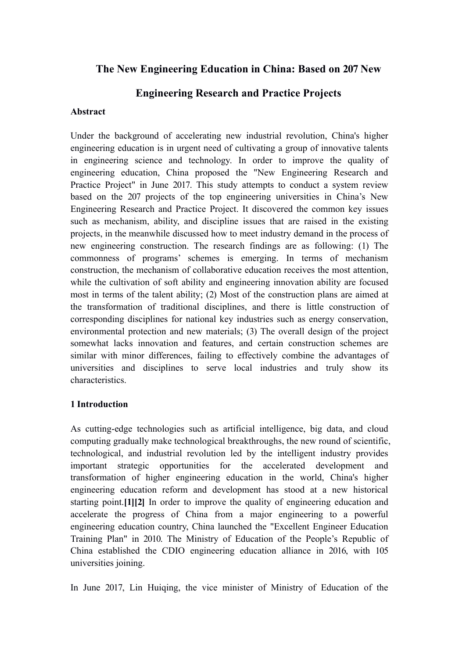# **The New Engineering Education in China: Based on 207 New**

# **Engineering Research and Practice Projects**

### **Abstract**

Under the background of accelerating new industrial revolution, China's higher engineering education is in urgent need of cultivating a group of innovative talents in engineering science and technology. In order to improve the quality of engineering education, China proposed the "New Engineering Research and Practice Project" in June 2017. This study attempts to conduct a system review based on the 207 projects of the top engineering universities in China's New Engineering Research and Practice Project. It discovered the common key issues such as mechanism, ability, and discipline issues that are raised in the existing projects, in the meanwhile discussed how to meet industry demand in the process of new engineering construction. The research findings are as following: (1) The commonness of programs' schemes is emerging. In terms of mechanism construction, the mechanism of collaborative education receives the most attention, while the cultivation of soft ability and engineering innovation ability are focused most in terms of the talent ability; (2) Most of the construction plans are aimed at the transformation of traditional disciplines, and there is little construction of corresponding disciplines for national key industries such as energy conservation, environmental protection and new materials; (3) The overall design of the project somewhat lacks innovation and features, and certain construction schemes are similar with minor differences, failing to effectively combine the advantages of universities and disciplines to serve local industries and truly show its characteristics.

## **1 Introduction**

As cutting-edge technologies such as artificial intelligence, big data, and cloud computing gradually make technological breakthroughs, the new round of scientific, technological, and industrial revolution led by the intelligent industry provides important strategic opportunities for the accelerated development and transformation of higher engineering education in the world, China's higher engineering education reform and development has stood at a new historical starting point.**[1][2]** In order to improve the quality of engineering education and accelerate the progress of China from a major engineering to a powerful engineering education country, China launched the "Excellent Engineer Education Training Plan" in 2010. The Ministry of Education of the People's Republic of China established the CDIO engineering education alliance in 2016, with 105 universities joining.

In June 2017, Lin Huiqing, the vice minister of Ministry of Education of the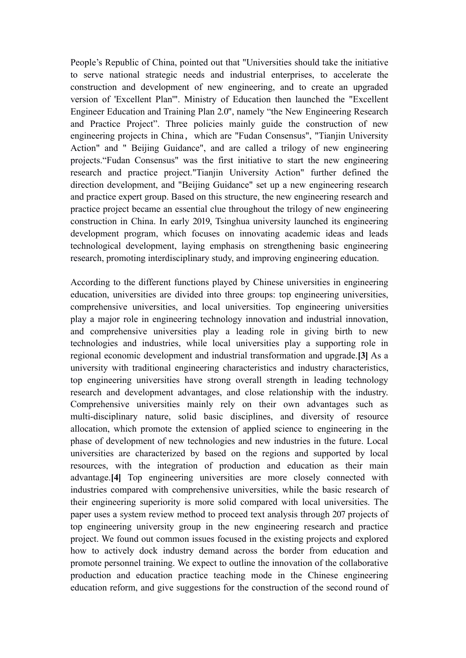People's Republic of China, pointed out that "Universities should take the initiative to serve national strategic needs and industrial enterprises, to accelerate the construction and development of new engineering, and to create an upgraded version of 'Excellent Plan'". Ministry of Education then launched the "Excellent Engineer Education and Training Plan 2.0", namely "the New Engineering Research and Practice Project". Three policies mainly guide the construction of new engineering projects in China, which are "Fudan Consensus", "Tianjin University Action" and " Beijing Guidance", and are called a trilogy of new engineering projects."Fudan Consensus" was the first initiative to start the new engineering research and practice project."Tianjin University Action" further defined the direction development, and "Beijing Guidance" set up a new engineering research and practice expert group. Based on this structure, the new engineering research and practice project became an essential clue throughout the trilogy of new engineering construction in China. In early 2019, Tsinghua university launched its engineering development program, which focuses on innovating academic ideas and leads technological development, laying emphasis on strengthening basic engineering research, promoting interdisciplinary study, and improving engineering education.

According to the different functions played by Chinese universities in engineering education, universities are divided into three groups: top engineering universities, comprehensive universities, and local universities. Top engineering universities play a major role in engineering technology innovation and industrial innovation, and comprehensive universities play a leading role in giving birth to new technologies and industries, while local universities play a supporting role in regional economic development and industrial transformation and upgrade.**[3]** As a university with traditional engineering characteristics and industry characteristics, top engineering universities have strong overall strength in leading technology research and development advantages, and close relationship with the industry. Comprehensive universities mainly rely on their own advantages such as multi-disciplinary nature, solid basic disciplines, and diversity of resource allocation, which promote the extension of applied science to engineering in the phase of development of new technologies and new industries in the future. Local universities are characterized by based on the regions and supported by local resources, with the integration of production and education as their main advantage.**[4]** Top engineering universities are more closely connected with industries compared with comprehensive universities, while the basic research of their engineering superiority is more solid compared with local universities. The paper uses a system review method to proceed text analysis through 207 projects of top engineering university group in the new engineering research and practice project. We found out common issues focused in the existing projects and explored how to actively dock industry demand across the border from education and promote personnel training. We expect to outline the innovation of the collaborative production and education practice teaching mode in the Chinese engineering education reform, and give suggestions for the construction of the second round of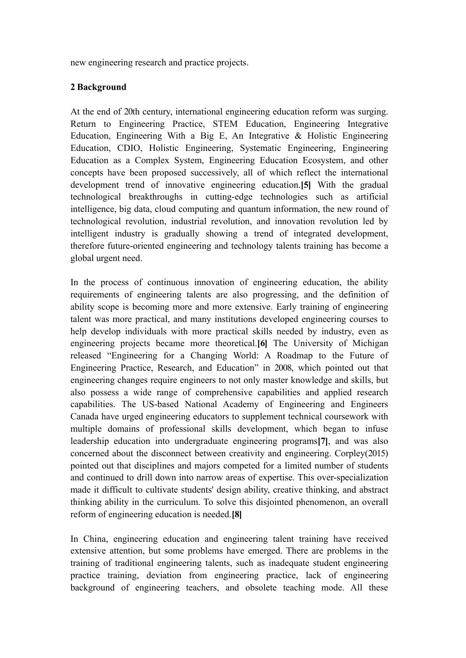new engineering research and practice projects.

## **2 Background**

At the end of 20th century, international engineering education reform was surging. Return to Engineering Practice, STEM Education, Engineering Integrative Education, Engineering With a Big E, An Integrative & Holistic Engineering Education, CDIO, Holistic Engineering, Systematic Engineering, Engineering Education as a Complex System, Engineering Education Ecosystem, and other concepts have been proposed successively, all of which reflect the international development trend of innovative engineering education.**[5]** With the gradual technological breakthroughs in cutting-edge technologies such as artificial intelligence, big data, cloud computing and quantum information, the new round of technological revolution, industrial revolution, and innovation revolution led by intelligent industry is gradually showing a trend of integrated development, therefore future-oriented engineering and technology talents training has become a global urgent need.

In the process of continuous innovation of engineering education, the ability requirements of engineering talents are also progressing, and the definition of ability scope is becoming more and more extensive. Early training of engineering talent was more practical, and many institutions developed engineering courses to help develop individuals with more practical skills needed by industry, even as engineering projects became more theoretical.**[6]** The University of Michigan released "Engineering for a Changing World: A Roadmap to the Future of Engineering Practice, Research, and Education" in 2008, which pointed out that engineering changes require engineers to not only master knowledge and skills, but also possess a wide range of comprehensive capabilities and applied research capabilities. The US-based National Academy of Engineering and Engineers Canada have urged engineering educators to supplement technical coursework with multiple domains of professional skills development, which began to infuse leadership education into undergraduate engineering programs**[7]**, and was also concerned about the disconnect between creativity and engineering. Corpley(2015) pointed out that disciplines and majors competed for a limited number of students and continued to drill down into narrow areas of expertise. This over-specialization made it difficult to cultivate students' design ability, creative thinking, and abstract thinking ability in the curriculum. To solve this disjointed phenomenon, an overall reform of engineering education is needed.**[8]**

In China, engineering education and engineering talent training have received extensive attention, but some problems have emerged. There are problems in the training of traditional engineering talents, such as inadequate student engineering practice training, deviation from engineering practice, lack of engineering background of engineering teachers, and obsolete teaching mode. All these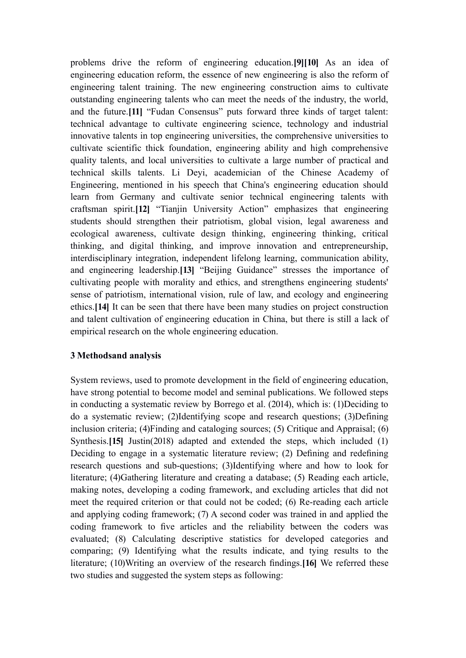problems drive the reform of engineering education.**[9][10]** As an idea of engineering education reform, the essence of new engineering is also the reform of engineering talent training. The new engineering construction aims to cultivate outstanding engineering talents who can meet the needs of the industry, the world, and the future.**[11]** "Fudan Consensus" puts forward three kinds of target talent: technical advantage to cultivate engineering science, technology and industrial innovative talents in top engineering universities, the comprehensive universities to cultivate scientific thick foundation, engineering ability and high comprehensive quality talents, and local universities to cultivate a large number of practical and technical skills talents. Li Deyi, academician of the Chinese Academy of Engineering, mentioned in his speech that China's engineering education should learn from Germany and cultivate senior technical engineering talents with craftsman spirit.**[12]** "Tianjin University Action" emphasizes that engineering students should strengthen their patriotism, global vision, legal awareness and ecological awareness, cultivate design thinking, engineering thinking, critical thinking, and digital thinking, and improve innovation and entrepreneurship, interdisciplinary integration, independent lifelong learning, communication ability, and engineering leadership.**[13]** "Beijing Guidance" stresses the importance of cultivating people with morality and ethics, and strengthens engineering students' sense of patriotism, international vision, rule of law, and ecology and engineering ethics.**[14]** It can be seen that there have been many studies on project construction and talent cultivation of engineering education in China, but there is still a lack of empirical research on the whole engineering education.

### **3 Methodsand analysis**

System reviews, used to promote development in the field of engineering education, have strong potential to become model and seminal publications. We followed steps in conducting a systematic review by Borrego et al. (2014), which is: (1)Deciding to do a systematic review; (2)Identifying scope and research questions; (3)Defining inclusion criteria; (4)Finding and cataloging sources; (5) Critique and Appraisal; (6) Synthesis.**[15]** Justin(2018) adapted and extended the steps, which included (1) Deciding to engage in a systematic literature review; (2) Defining and redefining research questions and sub-questions; (3)Identifying where and how to look for literature; (4)Gathering literature and creating a database; (5) Reading each article, making notes, developing a coding framework, and excluding articles that did not meet the required criterion or that could not be coded; (6) Re-reading each article and applying coding framework; (7) A second coder was trained in and applied the coding framework to five articles and the reliability between the coders was evaluated; (8) Calculating descriptive statistics for developed categories and comparing; (9) Identifying what the results indicate, and tying results to the literature; (10)Writing an overview of the research findings.**[16]** We referred these two studies and suggested the system steps as following: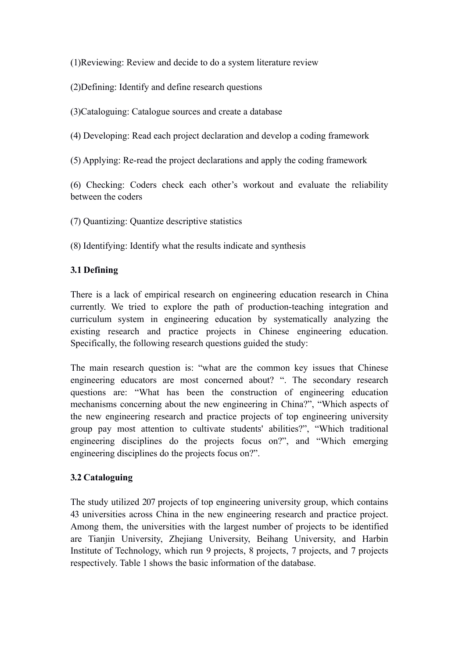(1)Reviewing: Review and decide to do a system literature review

(2)Defining: Identify and define research questions

(3)Cataloguing: Catalogue sources and create a database

(4) Developing: Read each project declaration and develop a coding framework

(5) Applying: Re-read the project declarations and apply the coding framework

(6) Checking: Coders check each other's workout and evaluate the reliability between the coders

(7) Quantizing: Quantize descriptive statistics

(8) Identifying: Identify what the results indicate and synthesis

# **3.1 Defining**

There is a lack of empirical research on engineering education research in China currently. We tried to explore the path of production-teaching integration and curriculum system in engineering education by systematically analyzing the existing research and practice projects in Chinese engineering education. Specifically, the following research questions guided the study:

The main research question is: "what are the common key issues that Chinese engineering educators are most concerned about? ". The secondary research questions are: "What has been the construction of engineering education mechanisms concerning about the new engineering in China?", "Which aspects of the new engineering research and practice projects of top engineering university group pay most attention to cultivate students' abilities?", "Which traditional engineering disciplines do the projects focus on?", and "Which emerging engineering disciplines do the projects focus on?".

## **3.2 Cataloguing**

The study utilized 207 projects of top engineering university group, which contains 43 universities across China in the new engineering research and practice project. Among them, the universities with the largest number of projects to be identified are Tianjin University, Zhejiang University, Beihang University, and Harbin Institute of Technology, which run 9 projects, 8 projects, 7 projects, and 7 projects respectively. Table 1 shows the basic information of the database.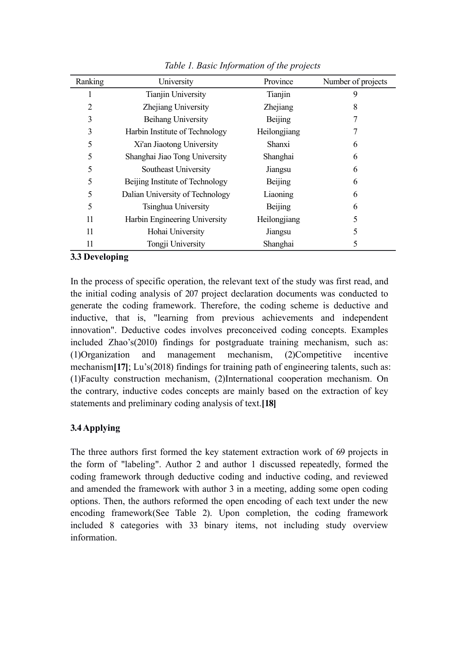| Ranking | University                      | Province       | Number of projects |
|---------|---------------------------------|----------------|--------------------|
| 1       | <b>Tianjin University</b>       | Tianjin        | 9                  |
| 2       | Zhejiang University             | Zhejiang       | 8                  |
| 3       | Beihang University              | Beijing        |                    |
| 3       | Harbin Institute of Technology  | Heilongjiang   |                    |
| 5       | Xi'an Jiaotong University       | Shanxi         | 6                  |
| 5       | Shanghai Jiao Tong University   | Shanghai       | 6                  |
| 5       | Southeast University            | Jiangsu        | 6                  |
| 5       | Beijing Institute of Technology | Beijing        | 6                  |
| 5       | Dalian University of Technology | Liaoning       | 6                  |
| 5       | Tsinghua University             | <b>Beijing</b> | 6                  |
| 11      | Harbin Engineering University   | Heilongjiang   | 5                  |
| 11      | Hohai University                | Jiangsu        | 5                  |
| 11      | Tongji University               | Shanghai       | 5                  |

*Table 1. Basic Information of the projects*

# **3.3 Developing**

In the process of specific operation, the relevant text of the study was first read, and the initial coding analysis of 207 project declaration documents was conducted to generate the coding framework. Therefore, the coding scheme is deductive and inductive, that is, "learning from previous achievements and independent innovation". Deductive codes involves preconceived coding concepts. Examples included Zhao's(2010) findings for postgraduate training mechanism, such as: (1)Organization and management mechanism, (2)Competitive incentive mechanism<sup>[17]</sup>; Lu's(2018) findings for training path of engineering talents, such as: (1)Faculty construction mechanism, (2)International cooperation mechanism. On the contrary, inductive codes concepts are mainly based on the extraction of key statements and preliminary coding analysis of text.**[18]**

# **3.4Applying**

The three authors first formed the key statement extraction work of 69 projects in the form of "labeling". Author 2 and author 1 discussed repeatedly, formed the coding framework through deductive coding and inductive coding, and reviewed and amended the framework with author 3 in a meeting, adding some open coding options. Then, the authors reformed the open encoding of each text under the new encoding framework(See Table 2). Upon completion, the coding framework included 8 categories with 33 binary items, not including study overview information.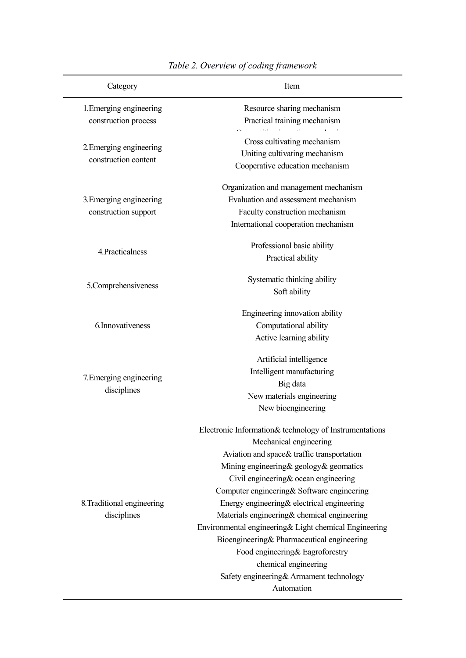| Category                                        | Item                                                                                                                                                                                                                                                                                                                                                                                                                                                                                                                                                                                          |
|-------------------------------------------------|-----------------------------------------------------------------------------------------------------------------------------------------------------------------------------------------------------------------------------------------------------------------------------------------------------------------------------------------------------------------------------------------------------------------------------------------------------------------------------------------------------------------------------------------------------------------------------------------------|
| 1. Emerging engineering<br>construction process | Resource sharing mechanism<br>Practical training mechanism                                                                                                                                                                                                                                                                                                                                                                                                                                                                                                                                    |
| 2. Emerging engineering<br>construction content | Cross cultivating mechanism<br>Uniting cultivating mechanism<br>Cooperative education mechanism                                                                                                                                                                                                                                                                                                                                                                                                                                                                                               |
| 3. Emerging engineering<br>construction support | Organization and management mechanism<br>Evaluation and assessment mechanism<br>Faculty construction mechanism<br>International cooperation mechanism                                                                                                                                                                                                                                                                                                                                                                                                                                         |
| 4. Practicalness                                | Professional basic ability<br>Practical ability                                                                                                                                                                                                                                                                                                                                                                                                                                                                                                                                               |
| 5.Comprehensiveness                             | Systematic thinking ability<br>Soft ability                                                                                                                                                                                                                                                                                                                                                                                                                                                                                                                                                   |
| 6. Innovativeness                               | Engineering innovation ability<br>Computational ability<br>Active learning ability                                                                                                                                                                                                                                                                                                                                                                                                                                                                                                            |
| 7. Emerging engineering<br>disciplines          | Artificial intelligence<br>Intelligent manufacturing<br>Big data<br>New materials engineering<br>New bioengineering                                                                                                                                                                                                                                                                                                                                                                                                                                                                           |
| 8. Traditional engineering<br>disciplines       | Electronic Information& technology of Instrumentations<br>Mechanical engineering<br>Aviation and space& traffic transportation<br>Mining engineering & geology & geomatics<br>Civil engineering & ocean engineering<br>Computer engineering & Software engineering<br>Energy engineering & electrical engineering<br>Materials engineering & chemical engineering<br>Environmental engineering& Light chemical Engineering<br>Bioengineering& Pharmaceutical engineering<br>Food engineering & Eagroforestry<br>chemical engineering<br>Safety engineering& Armament technology<br>Automation |

# *Table 2. Overview of coding framework*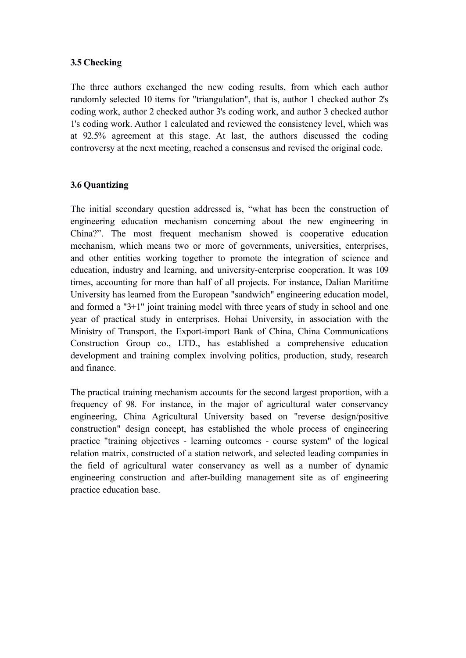## **3.5 Checking**

The three authors exchanged the new coding results, from which each author randomly selected 10 items for "triangulation", that is, author 1 checked author 2's coding work, author 2 checked author 3's coding work, and author 3 checked author 1's coding work. Author 1 calculated and reviewed the consistency level, which was at 92.5% agreement at this stage. At last, the authors discussed the coding controversy at the next meeting, reached a consensus and revised the original code.

## **3.6 Quantizing**

The initial secondary question addressed is, "what has been the construction of engineering education mechanism concerning about the new engineering in China?". The most frequent mechanism showed is cooperative education mechanism, which means two or more of governments, universities, enterprises, and other entities working together to promote the integration of science and education, industry and learning, and university-enterprise cooperation. It was 109 times, accounting for more than half of all projects. For instance, Dalian Maritime University has learned from the European "sandwich" engineering education model, and formed a "3+1" joint training model with three years of study in school and one year of practical study in enterprises. Hohai University, in association with the Ministry of Transport, the Export-import Bank of China, China Communications Construction Group co., LTD., has established a comprehensive education development and training complex involving politics, production, study, research and finance.

The practical training mechanism accounts for the second largest proportion, with a frequency of 98. For instance, in the major of agricultural water conservancy engineering, China Agricultural University based on "reverse design/positive construction" design concept, has established the whole process of engineering practice "training objectives - learning outcomes - course system" of the logical relation matrix, constructed of a station network, and selected leading companies in the field of agricultural water conservancy as well as a number of dynamic engineering construction and after-building management site as of engineering practice education base.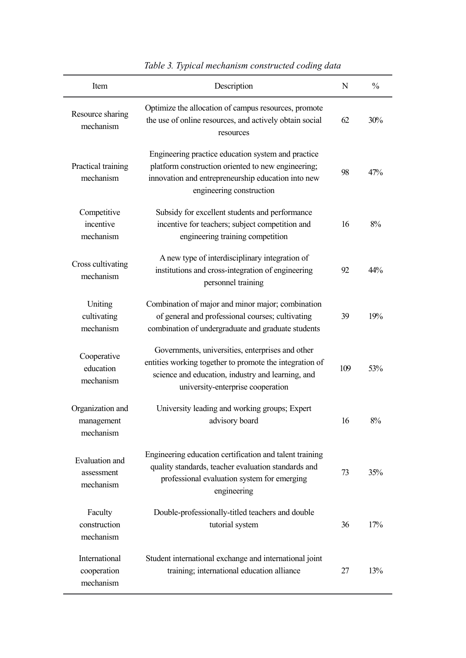| Item                                        | Description                                                                                                                                                                                           | N   | $\%$  |
|---------------------------------------------|-------------------------------------------------------------------------------------------------------------------------------------------------------------------------------------------------------|-----|-------|
| Resource sharing<br>mechanism               | Optimize the allocation of campus resources, promote<br>the use of online resources, and actively obtain social<br>resources                                                                          | 62  | 30%   |
| Practical training<br>mechanism             | Engineering practice education system and practice<br>platform construction oriented to new engineering;<br>innovation and entrepreneurship education into new<br>engineering construction            | 98  | 47%   |
| Competitive<br>incentive<br>mechanism       | Subsidy for excellent students and performance<br>incentive for teachers; subject competition and<br>engineering training competition                                                                 | 16  | 8%    |
| Cross cultivating<br>mechanism              | A new type of interdisciplinary integration of<br>institutions and cross-integration of engineering<br>personnel training                                                                             | 92  | 44%   |
| Uniting<br>cultivating<br>mechanism         | Combination of major and minor major; combination<br>of general and professional courses; cultivating<br>combination of undergraduate and graduate students                                           | 39  | 19%   |
| Cooperative<br>education<br>mechanism       | Governments, universities, enterprises and other<br>entities working together to promote the integration of<br>science and education, industry and learning, and<br>university-enterprise cooperation | 109 | 53%   |
| Organization and<br>management<br>mechanism | University leading and working groups; Expert<br>advisory board                                                                                                                                       | 16  | $8\%$ |
| Evaluation and<br>assessment<br>mechanism   | Engineering education certification and talent training<br>quality standards, teacher evaluation standards and<br>professional evaluation system for emerging<br>engineering                          | 73  | 35%   |
| Faculty<br>construction<br>mechanism        | Double-professionally-titled teachers and double<br>tutorial system                                                                                                                                   | 36  | 17%   |
| International<br>cooperation<br>mechanism   | Student international exchange and international joint<br>training; international education alliance                                                                                                  | 27  | 13%   |

| Table 3. Typical mechanism constructed coding data |  |  |
|----------------------------------------------------|--|--|
|                                                    |  |  |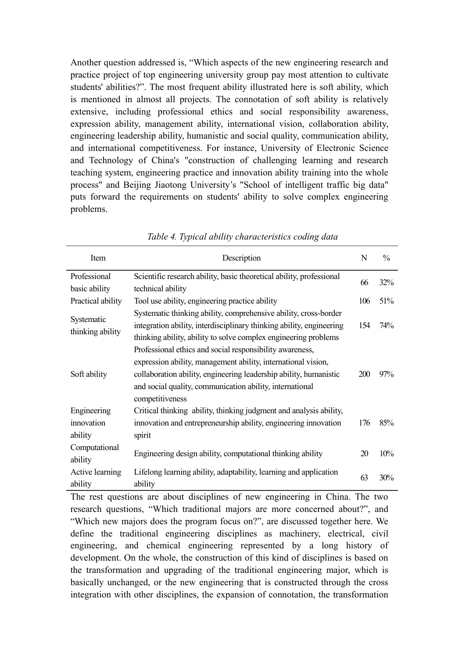Another question addressed is, "Which aspects of the new engineering research and practice project of top engineering university group pay most attention to cultivate students' abilities?". The most frequent ability illustrated here is soft ability, which is mentioned in almost all projects. The connotation of soft ability is relatively extensive, including professional ethics and social responsibility awareness, expression ability, management ability, international vision, collaboration ability, engineering leadership ability, humanistic and social quality, communication ability, and international competitiveness. For instance, University of Electronic Science and Technology of China's "construction of challenging learning and research teaching system, engineering practice and innovation ability training into the whole process" and Beijing Jiaotong University's "School of intelligent traffic big data" puts forward the requirements on students' ability to solve complex engineering problems.

| Item              | Description                                                          | N   | $\frac{0}{0}$ |
|-------------------|----------------------------------------------------------------------|-----|---------------|
| Professional      | Scientific research ability, basic theoretical ability, professional | 66  | 32%           |
| basic ability     | technical ability                                                    |     |               |
| Practical ability | Tool use ability, engineering practice ability                       | 106 | 51%           |
| Systematic        | Systematic thinking ability, comprehensive ability, cross-border     |     |               |
| thinking ability  | integration ability, interdisciplinary thinking ability, engineering | 154 | $74\%$        |
|                   | thinking ability, ability to solve complex engineering problems      |     |               |
|                   | Professional ethics and social responsibility awareness,             |     |               |
|                   | expression ability, management ability, international vision,        |     |               |
| Soft ability      | collaboration ability, engineering leadership ability, humanistic    | 200 | 97%           |
|                   | and social quality, communication ability, international             |     |               |
|                   | competitiveness                                                      |     |               |
| Engineering       | Critical thinking ability, thinking judgment and analysis ability,   |     |               |
| innovation        | innovation and entrepreneurship ability, engineering innovation      | 176 | 85%           |
| ability           | spirit                                                               |     |               |
| Computational     | Engineering design ability, computational thinking ability           |     |               |
| ability           |                                                                      |     | 10%           |
| Active learning   | Lifelong learning ability, adaptability, learning and application    | 63  | 30%           |
| ability           | ability                                                              |     |               |

*Table 4. Typical ability characteristics coding data*

The rest questions are about disciplines of new engineering in China. The two research questions, "Which traditional majors are more concerned about?", and "Which new majors does the program focus on?", are discussed together here. We define the traditional engineering disciplines as machinery, electrical, civil engineering, and chemical engineering represented by a long history of development. On the whole, the construction of this kind of disciplines is based on the transformation and upgrading of the traditional engineering major, which is basically unchanged, or the new engineering that is constructed through the cross integration with other disciplines, the expansion of connotation, the transformation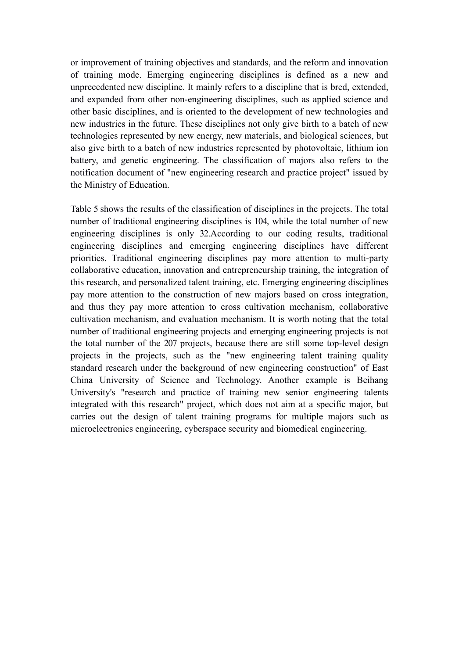or improvement of training objectives and standards, and the reform and innovation of training mode. Emerging engineering disciplines is defined as a new and unprecedented new discipline. It mainly refers to a discipline that is bred, extended, and expanded from other non-engineering disciplines, such as applied science and other basic disciplines, and is oriented to the development of new technologies and new industries in the future. These disciplines not only give birth to a batch of new technologies represented by new energy, new materials, and biological sciences, but also give birth to a batch of new industries represented by photovoltaic, lithium ion battery, and genetic engineering. The classification of majors also refers to the notification document of "new engineering research and practice project" issued by the Ministry of Education.

Table 5 shows the results of the classification of disciplines in the projects. The total number of traditional engineering disciplines is 104, while the total number of new engineering disciplines is only 32.According to our coding results, traditional engineering disciplines and emerging engineering disciplines have different priorities. Traditional engineering disciplines pay more attention to multi-party collaborative education, innovation and entrepreneurship training, the integration of this research, and personalized talent training, etc. Emerging engineering disciplines pay more attention to the construction of new majors based on cross integration, and thus they pay more attention to cross cultivation mechanism, collaborative cultivation mechanism, and evaluation mechanism. It is worth noting that the total number of traditional engineering projects and emerging engineering projects is not the total number of the 207 projects, because there are still some top-level design projects in the projects, such as the "new engineering talent training quality standard research under the background of new engineering construction" of East China University of Science and Technology. Another example is Beihang University's "research and practice of training new senior engineering talents integrated with this research" project, which does not aim at a specific major, but carries out the design of talent training programs for multiple majors such as microelectronics engineering, cyberspace security and biomedical engineering.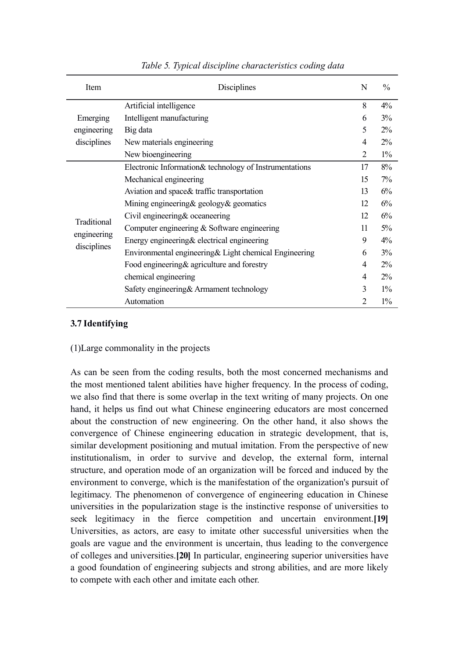| Item                    | Disciplines                                            | N              | $\frac{0}{0}$ |
|-------------------------|--------------------------------------------------------|----------------|---------------|
| Emerging<br>engineering | Artificial intelligence                                | 8              | $4\%$         |
|                         | Intelligent manufacturing                              | 6              | 3%            |
|                         | Big data                                               | 5              | $2\%$         |
| disciplines             | New materials engineering                              | 4              | $2\%$         |
|                         | New bioengineering                                     | $\overline{2}$ | $1\%$         |
|                         | Electronic Information& technology of Instrumentations | 17             | 8%            |
|                         | Mechanical engineering                                 | 15             | $7\%$         |
|                         | Aviation and space & traffic transportation            | 13             | 6%            |
|                         | Mining engineering $\&$ geology $\&$ geomatics         | 12             | 6%            |
| Traditional             | Civil engineering & oceaneering                        | 12             | 6%            |
|                         | Computer engineering $&$ Software engineering          | 11             | $5\%$         |
| engineering             | Energy engineering $&$ electrical engineering          | 9              | $4\%$         |
| disciplines             | Environmental engineering & Light chemical Engineering | 6              | 3%            |
|                         | Food engineering & agriculture and forestry            | 4              | $2\%$         |
|                         | chemical engineering                                   | 4              | $2\%$         |
|                         | Safety engineering & Armament technology               | 3              | $1\%$         |
|                         | Automation                                             | $\overline{2}$ | $1\%$         |

### *Table 5. Typical discipline characteristics coding data*

### **3.7 Identifying**

### (1)Large commonality in the projects

As can be seen from the coding results, both the most concerned mechanisms and the most mentioned talent abilities have higher frequency. In the process of coding, we also find that there is some overlap in the text writing of many projects. On one hand, it helps us find out what Chinese engineering educators are most concerned about the construction of new engineering. On the other hand, it also shows the convergence of Chinese engineering education in strategic development, that is, similar development positioning and mutual imitation. From the perspective of new institutionalism, in order to survive and develop, the external form, internal structure, and operation mode of an organization will be forced and induced by the environment to converge, which is the manifestation of the organization's pursuit of legitimacy. The phenomenon of convergence of engineering education in Chinese universities in the popularization stage is the instinctive response of universities to seek legitimacy in the fierce competition and uncertain environment.**[19]** Universities, as actors, are easy to imitate other successful universities when the goals are vague and the environment is uncertain, thus leading to the convergence of colleges and universities.**[20]** In particular, engineering superior universities have a good foundation of engineering subjects and strong abilities, and are more likely to compete with each other and imitate each other.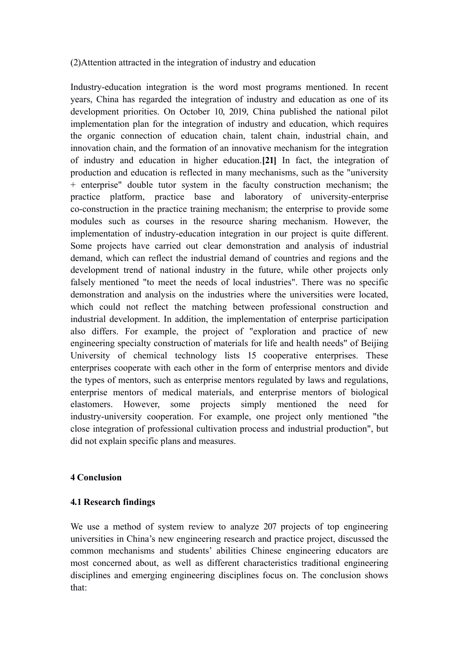## (2)Attention attracted in the integration of industry and education

Industry-education integration is the word most programs mentioned. In recent years, China has regarded the integration of industry and education as one of its development priorities. On October 10, 2019, China published the national pilot implementation plan for the integration of industry and education, which requires the organic connection of education chain, talent chain, industrial chain, and innovation chain, and the formation of an innovative mechanism for the integration of industry and education in higher education.**[21]** In fact, the integration of production and education is reflected in many mechanisms, such as the "university + enterprise" double tutor system in the faculty construction mechanism; the practice platform, practice base and laboratory of university-enterprise co-construction in the practice training mechanism; the enterprise to provide some modules such as courses in the resource sharing mechanism. However, the implementation of industry-education integration in our project is quite different. Some projects have carried out clear demonstration and analysis of industrial demand, which can reflect the industrial demand of countries and regions and the development trend of national industry in the future, while other projects only falsely mentioned "to meet the needs of local industries". There was no specific demonstration and analysis on the industries where the universities were located, which could not reflect the matching between professional construction and industrial development. In addition, the implementation of enterprise participation also differs. For example, the project of "exploration and practice of new engineering specialty construction of materials for life and health needs" of Beijing University of chemical technology lists 15 cooperative enterprises. These enterprises cooperate with each other in the form of enterprise mentors and divide the types of mentors, such as enterprise mentors regulated by laws and regulations, enterprise mentors of medical materials, and enterprise mentors of biological elastomers. However, some projects simply mentioned the need for industry-university cooperation. For example, one project only mentioned "the close integration of professional cultivation process and industrial production", but did not explain specific plans and measures.

## **4 Conclusion**

### **4.1 Research findings**

We use a method of system review to analyze 207 projects of top engineering universities in China's new engineering research and practice project, discussed the common mechanisms and students' abilities Chinese engineering educators are most concerned about, as well as different characteristics traditional engineering disciplines and emerging engineering disciplines focus on. The conclusion shows that: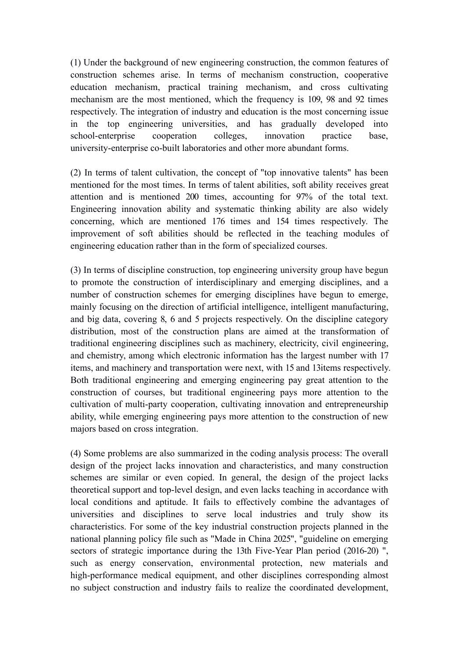(1) Under the background of new engineering construction, the common features of construction schemes arise. In terms of mechanism construction, cooperative education mechanism, practical training mechanism, and cross cultivating mechanism are the most mentioned, which the frequency is 109, 98 and 92 times respectively. The integration of industry and education is the most concerning issue in the top engineering universities, and has gradually developed into school-enterprise cooperation colleges, innovation practice base, university-enterprise co-built laboratories and other more abundant forms.

(2) In terms of talent cultivation, the concept of "top innovative talents" has been mentioned for the most times. In terms of talent abilities, soft ability receives great attention and is mentioned 200 times, accounting for 97% of the total text. Engineering innovation ability and systematic thinking ability are also widely concerning, which are mentioned 176 times and 154 times respectively. The improvement of soft abilities should be reflected in the teaching modules of engineering education rather than in the form of specialized courses.

(3) In terms of discipline construction, top engineering university group have begun to promote the construction of interdisciplinary and emerging disciplines, and a number of construction schemes for emerging disciplines have begun to emerge, mainly focusing on the direction of artificial intelligence, intelligent manufacturing, and big data, covering 8, 6 and 5 projects respectively. On the discipline category distribution, most of the construction plans are aimed at the transformation of traditional engineering disciplines such as machinery, electricity, civil engineering, and chemistry, among which electronic information has the largest number with 17 items, and machinery and transportation were next, with 15 and 13items respectively. Both traditional engineering and emerging engineering pay great attention to the construction of courses, but traditional engineering pays more attention to the cultivation of multi-party cooperation, cultivating innovation and entrepreneurship ability, while emerging engineering pays more attention to the construction of new majors based on cross integration.

(4) Some problems are also summarized in the coding analysis process: The overall design of the project lacks innovation and characteristics, and many construction schemes are similar or even copied. In general, the design of the project lacks theoretical support and top-level design, and even lacks teaching in accordance with local conditions and aptitude. It fails to effectively combine the advantages of universities and disciplines to serve local industries and truly show its characteristics. For some of the key industrial construction projects planned in the national planning policy file such as "Made in China 2025", "guideline on emerging sectors of strategic importance during the 13th Five-Year Plan period (2016-20) ", such as energy conservation, environmental protection, new materials and high-performance medical equipment, and other disciplines corresponding almost no subject construction and industry fails to realize the coordinated development,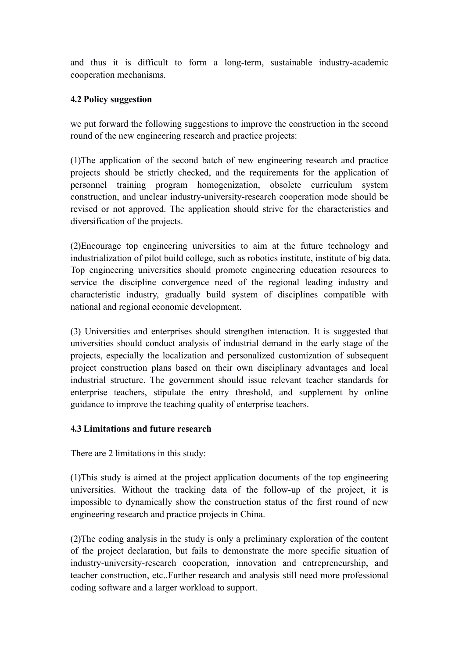and thus it is difficult to form a long-term, sustainable industry-academic cooperation mechanisms.

# **4.2 Policy suggestion**

we put forward the following suggestions to improve the construction in the second round of the new engineering research and practice projects:

(1)The application of the second batch of new engineering research and practice projects should be strictly checked, and the requirements for the application of personnel training program homogenization, obsolete curriculum system construction, and unclear industry-university-research cooperation mode should be revised or not approved. The application should strive for the characteristics and diversification of the projects.

(2)Encourage top engineering universities to aim at the future technology and industrialization of pilot build college, such as robotics institute, institute of big data. Top engineering universities should promote engineering education resources to service the discipline convergence need of the regional leading industry and characteristic industry, gradually build system of disciplines compatible with national and regional economic development.

(3) Universities and enterprises should strengthen interaction. It is suggested that universities should conduct analysis of industrial demand in the early stage of the projects, especially the localization and personalized customization of subsequent project construction plans based on their own disciplinary advantages and local industrial structure. The government should issue relevant teacher standards for enterprise teachers, stipulate the entry threshold, and supplement by online guidance to improve the teaching quality of enterprise teachers.

## **4.3 Limitations and future research**

There are 2 limitations in this study:

(1)This study is aimed at the project application documents of the top engineering universities. Without the tracking data of the follow-up of the project, it is impossible to dynamically show the construction status of the first round of new engineering research and practice projects in China.

(2)The coding analysis in the study is only a preliminary exploration of the content of the project declaration, but fails to demonstrate the more specific situation of industry-university-research cooperation, innovation and entrepreneurship, and teacher construction, etc..Further research and analysis still need more professional coding software and a larger workload to support.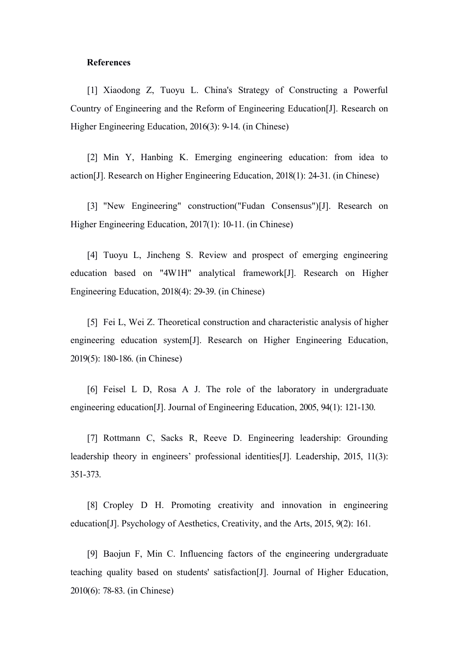### **References**

[1] Xiaodong Z, Tuoyu L. China's Strategy of Constructing a Powerful Country of Engineering and the Reform of Engineering Education[J]. Research on Higher Engineering Education, 2016(3): 9-14. (in Chinese)

[2] Min Y, Hanbing K. Emerging engineering education: from idea to action[J]. Research on Higher Engineering Education, 2018(1): 24-31. (in Chinese)

[3] "New Engineering" construction("Fudan Consensus")[J]. Research on Higher Engineering Education, 2017(1): 10-11. (in Chinese)

[4] Tuoyu L, Jincheng S. Review and prospect of emerging engineering education based on "4W1H" analytical framework[J]. Research on Higher Engineering Education, 2018(4): 29-39. (in Chinese)

[5] Fei L, Wei Z. Theoretical construction and characteristic analysis of higher engineering education system[J]. Research on Higher Engineering Education, 2019(5): 180-186. (in Chinese)

[6] Feisel L D, Rosa A J. The role of the laboratory in undergraduate engineering education[J]. Journal of Engineering Education, 2005, 94(1): 121-130.

[7] Rottmann C, Sacks R, Reeve D. Engineering leadership: Grounding leadership theory in engineers' professional identities[J]. Leadership, 2015, 11(3): 351-373.

[8] Cropley D H. Promoting creativity and innovation in engineering education[J]. Psychology of Aesthetics, Creativity, and the Arts, 2015, 9(2): 161.

[9] Baojun F, Min C. Influencing factors of the engineering undergraduate teaching quality based on students' satisfaction[J]. Journal of Higher Education, 2010(6): 78-83. (in Chinese)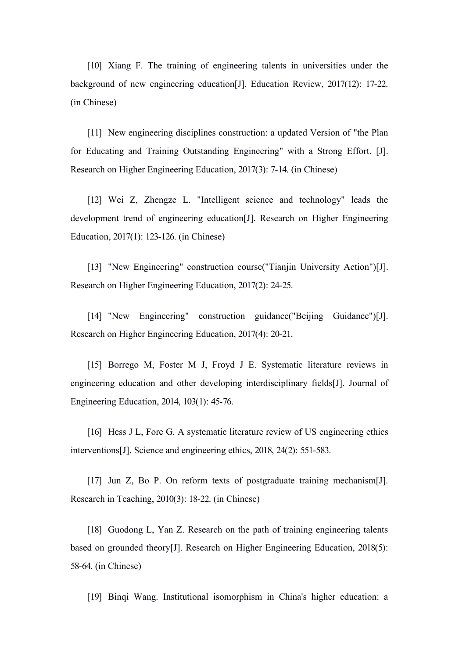[10] Xiang F. The training of engineering talents in universities under the background of new engineering education[J]. Education Review, 2017(12): 17-22. (in Chinese)

[11] New engineering disciplines construction: a updated Version of "the Plan" for Educating and Training Outstanding Engineering" with a Strong Effort. [J]. Research on Higher Engineering Education, 2017(3): 7-14. (in Chinese)

[12] Wei Z, Zhengze L. "Intelligent science and technology" leads the development trend of engineering education[J]. Research on Higher Engineering Education, 2017(1): 123-126. (in Chinese)

[13] "New Engineering" construction course("Tianjin University Action")[J]. Research on Higher Engineering Education, 2017(2): 24-25.

[14] "New Engineering" construction guidance("Beijing Guidance")[J]. Research on Higher Engineering Education, 2017(4): 20-21.

[15] Borrego M, Foster M J, Froyd J E. Systematic literature reviews in engineering education and other developing interdisciplinary fields[J]. Journal of Engineering Education, 2014, 103(1): 45-76.

[16] Hess J L, Fore G. A systematic literature review of US engineering ethics interventions[J]. Science and engineering ethics, 2018, 24(2): 551-583.

[17] Jun Z, Bo P. On reform texts of postgraduate training mechanism[J]. Research in Teaching, 2010(3): 18-22. (in Chinese)

[18] Guodong L, Yan Z. Research on the path of training engineering talents based on grounded theory[J]. Research on Higher Engineering Education, 2018(5): 58-64. (in Chinese)

[19] Binqi Wang. Institutional isomorphism in China's higher education: a